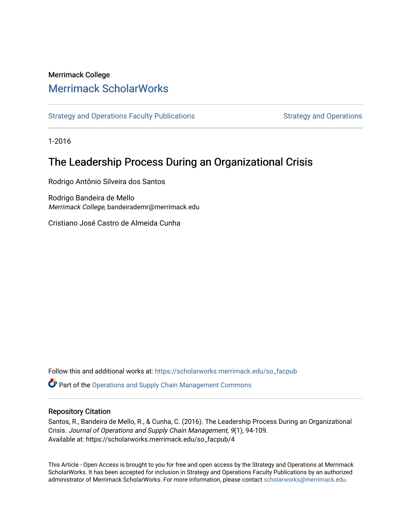# Merrimack College [Merrimack ScholarWorks](https://scholarworks.merrimack.edu/)

[Strategy and Operations Faculty Publications](https://scholarworks.merrimack.edu/so_facpub) [Strategy and Operations](https://scholarworks.merrimack.edu/so) Strategy and Operations

1-2016

# The Leadership Process During an Organizational Crisis

Rodrigo Antônio Silveira dos Santos

Rodrigo Bandeira de Mello Merrimack College, bandeirademr@merrimack.edu

Cristiano José Castro de Almeida Cunha

Follow this and additional works at: [https://scholarworks.merrimack.edu/so\\_facpub](https://scholarworks.merrimack.edu/so_facpub?utm_source=scholarworks.merrimack.edu%2Fso_facpub%2F4&utm_medium=PDF&utm_campaign=PDFCoverPages) 

**P** Part of the Operations and Supply Chain Management Commons

### Repository Citation

Santos, R., Bandeira de Mello, R., & Cunha, C. (2016). The Leadership Process During an Organizational Crisis. Journal of Operations and Supply Chain Management, 9(1), 94-109. Available at: https://scholarworks.merrimack.edu/so\_facpub/4

This Article - Open Access is brought to you for free and open access by the Strategy and Operations at Merrimack ScholarWorks. It has been accepted for inclusion in Strategy and Operations Faculty Publications by an authorized administrator of Merrimack ScholarWorks. For more information, please contact [scholarworks@merrimack.edu](mailto:scholarworks@merrimack.edu).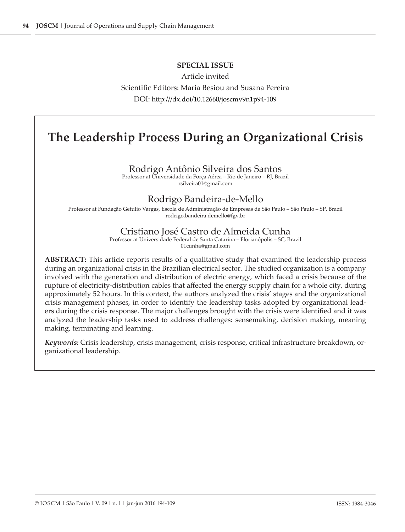### **SPECIAL ISSUE**

Article invited Scientific Editors: Maria Besiou and Susana Pereira DOI: http:///dx.doi/10.12660/joscmv9n1p94-109

# **The Leadership Process During an Organizational Crisis**

### Rodrigo Antônio Silveira dos Santos

Professor at Universidade da Força Aérea – Rio de Janeiro – RJ, Brazil rsilveira01@gmail.com

## Rodrigo Bandeira-de-Mello

Professor at Fundação Getulio Vargas, Escola de Administração de Empresas de São Paulo – São Paulo – SP, Brazil rodrigo.bandeira.demello@fgv.br

### Cristiano José Castro de Almeida Cunha

Professor at Universidade Federal de Santa Catarina – Florianópolis – SC, Brazil 01cunha@gmail.com

**ABSTRACT:** This article reports results of a qualitative study that examined the leadership process during an organizational crisis in the Brazilian electrical sector. The studied organization is a company involved with the generation and distribution of electric energy, which faced a crisis because of the rupture of electricity-distribution cables that affected the energy supply chain for a whole city, during approximately 52 hours. In this context, the authors analyzed the crisis' stages and the organizational crisis management phases, in order to identify the leadership tasks adopted by organizational leaders during the crisis response. The major challenges brought with the crisis were identified and it was analyzed the leadership tasks used to address challenges: sensemaking, decision making, meaning making, terminating and learning.

*Keywords:* Crisis leadership, crisis management, crisis response, critical infrastructure breakdown, organizational leadership.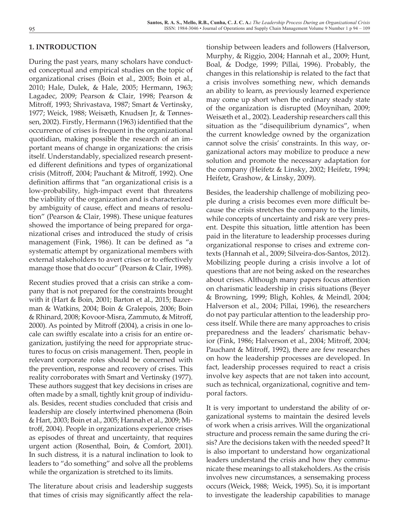### **1. INTRODUCTION**

During the past years, many scholars have conducted conceptual and empirical studies on the topic of organizational crises (Boin et al., 2005; Boin et al., 2010; Hale, Dulek, & Hale, 2005; Hermann, 1963; Lagadec, 2009; Pearson & Clair, 1998; Pearson & Mitroff, 1993; Shrivastava, 1987; Smart & Vertinsky, 1977; Weick, 1988; Weisæth, Knudsen Jr, & Tønnessen, 2002). Firstly, Hermann (1963) identified that the occurrence of crises is frequent in the organizational quotidian, making possible the research of an important means of change in organizations: the crisis itself. Understandably, specialized research presented different definitions and types of organizational crisis (Mitroff, 2004; Pauchant & Mitroff, 1992). One definition affirms that "an organizational crisis is a low-probability, high-impact event that threatens the viability of the organization and is characterized by ambiguity of cause, effect and means of resolution" (Pearson & Clair, 1998). These unique features showed the importance of being prepared for organizational crises and introduced the study of crisis management (Fink, 1986). It can be defined as "a systematic attempt by organizational members with external stakeholders to avert crises or to effectively manage those that do occur" (Pearson & Clair, 1998).

Recent studies proved that a crisis can strike a company that is not prepared for the constraints brought with it (Hart & Boin, 2001; Barton et al., 2015; Bazerman & Watkins, 2004; Boin & Gralepois, 2006; Boin & Rhinard, 2008; Kovoor-Misra, Zammuto, & Mitroff, 2000). As pointed by Mitroff (2004), a crisis in one locale can swiftly escalate into a crisis for an entire organization, justifying the need for appropriate structures to focus on crisis management. Then, people in relevant corporate roles should be concerned with the prevention, response and recovery of crises. This reality corroborates with Smart and Vertinsky (1977). These authors suggest that key decisions in crises are often made by a small, tightly knit group of individuals. Besides, recent studies concluded that crisis and leadership are closely intertwined phenomena (Boin & Hart, 2003; Boin et al., 2005; Hannah et al., 2009; Mitroff, 2004). People in organizations experience crises as episodes of threat and uncertainty, that requires urgent action (Rosenthal, Boin, & Comfort, 2001). In such distress, it is a natural inclination to look to leaders to "do something" and solve all the problems while the organization is stretched to its limits.

The literature about crisis and leadership suggests that times of crisis may significantly affect the rela-

tionship between leaders and followers (Halverson, Murphy, & Riggio, 2004; Hannah et al., 2009; Hunt, Boal, & Dodge, 1999; Pillai, 1996). Probably, the changes in this relationship is related to the fact that a crisis involves something new, which demands an ability to learn, as previously learned experience may come up short when the ordinary steady state of the organization is disrupted (Moynihan, 2009; Weisæth et al., 2002). Leadership researchers call this situation as the "disequilibrium dynamics", when the current knowledge owned by the organization cannot solve the crisis' constraints. In this way, organizational actors may mobilize to produce a new solution and promote the necessary adaptation for the company (Heifetz & Linsky, 2002; Heifetz, 1994; Heifetz, Grashow, & Linsky, 2009).

Besides, the leadership challenge of mobilizing people during a crisis becomes even more difficult because the crisis stretches the company to the limits, while concepts of uncertainty and risk are very present. Despite this situation, little attention has been paid in the literature to leadership processes during organizational response to crises and extreme contexts (Hannah et al., 2009; Silveira-dos-Santos, 2012). Mobilizing people during a crisis involve a lot of questions that are not being asked on the researches about crises. Although many papers focus attention on charismatic leadership in crisis situations (Beyer & Browning, 1999; Bligh, Kohles, & Meindl, 2004; Halverson et al., 2004; Pillai, 1996), the researchers do not pay particular attention to the leadership process itself. While there are many approaches to crisis preparedness and the leaders' charismatic behavior (Fink, 1986; Halverson et al., 2004; Mitroff, 2004; Pauchant & Mitroff, 1992), there are few researches on how the leadership processes are developed. In fact, leadership processes required to react a crisis involve key aspects that are not taken into account, such as technical, organizational, cognitive and temporal factors.

It is very important to understand the ability of organizational systems to maintain the desired levels of work when a crisis arrives. Will the organizational structure and process remain the same during the crisis? Are the decisions taken with the needed speed? It is also important to understand how organizational leaders understand the crisis and how they communicate these meanings to all stakeholders. As the crisis involves new circumstances, a sensemaking process occurs (Weick, 1988; Weick, 1995). So, it is important to investigate the leadership capabilities to manage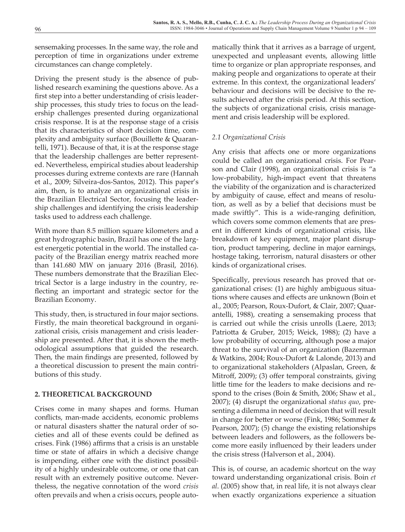sensemaking processes. In the same way, the role and perception of time in organizations under extreme circumstances can change completely.

Driving the present study is the absence of published research examining the questions above. As a first step into a better understanding of crisis leadership processes, this study tries to focus on the leadership challenges presented during organizational crisis response. It is at the response stage of a crisis that its characteristics of short decision time, complexity and ambiguity surface (Bouillette & Quarantelli, 1971). Because of that, it is at the response stage that the leadership challenges are better represented. Nevertheless, empirical studies about leadership processes during extreme contexts are rare (Hannah et al., 2009; Silveira-dos-Santos, 2012). This paper's aim, then, is to analyze an organizational crisis in the Brazilian Electrical Sector, focusing the leadership challenges and identifying the crisis leadership tasks used to address each challenge.

With more than 8.5 million square kilometers and a great hydrographic basin, Brazil has one of the largest energetic potential in the world. The installed capacity of the Brazilian energy matrix reached more than 141.680 MW on january 2016 (Brasil, 2016). These numbers demonstrate that the Brazilian Electrical Sector is a large industry in the country, reflecting an important and strategic sector for the Brazilian Economy.

This study, then, is structured in four major sections. Firstly, the main theoretical background in organizational crisis, crisis management and crisis leadership are presented. After that, it is shown the methodological assumptions that guided the research. Then, the main findings are presented, followed by a theoretical discussion to present the main contributions of this study.

### **2. THEORETICAL BACKGROUND**

Crises come in many shapes and forms. Human conflicts, man-made accidents, economic problems or natural disasters shatter the natural order of societies and all of these events could be defined as crises. Fink (1986) affirms that a crisis is an unstable time or state of affairs in which a decisive change is impending, either one with the distinct possibility of a highly undesirable outcome, or one that can result with an extremely positive outcome. Nevertheless, the negative connotation of the word *crisis* often prevails and when a crisis occurs, people automatically think that it arrives as a barrage of urgent, unexpected and unpleasant events, allowing little time to organize or plan appropriate responses, and making people and organizations to operate at their extreme. In this context, the organizational leaders' behaviour and decisions will be decisive to the results achieved after the crisis period. At this section, the subjects of organizational crisis, crisis management and crisis leadership will be explored.

### *2.1 Organizational Crisis*

Any crisis that affects one or more organizations could be called an organizational crisis. For Pearson and Clair (1998), an organizational crisis is "a low-probability, high-impact event that threatens the viability of the organization and is characterized by ambiguity of cause, effect and means of resolution, as well as by a belief that decisions must be made swiftly". This is a wide-ranging definition, which covers some common elements that are present in different kinds of organizational crisis, like breakdown of key equipment, major plant disruption, product tampering, decline in major earnings, hostage taking, terrorism, natural disasters or other kinds of organizational crises.

Specifically, previous research has proved that organizational crises: (1) are highly ambiguous situations where causes and effects are unknown (Boin et al., 2005; Pearson, Roux-Dufort, & Clair, 2007; Quarantelli, 1988), creating a sensemaking process that is carried out while the crisis unrolls (Laere, 2013; Patriotta & Gruber, 2015; Weick, 1988); (2) have a low probability of occurring, although pose a major threat to the survival of an organization (Bazerman & Watkins, 2004; Roux-Dufort & Lalonde, 2013) and to organizational stakeholders (Alpaslan, Green, & Mitroff, 2009); (3) offer temporal constraints, giving little time for the leaders to make decisions and respond to the crises (Boin & Smith, 2006; Shaw et al., 2007); (4) disrupt the organizational *status quo*, presenting a dilemma in need of decision that will result in change for better or worse (Fink, 1986; Sommer & Pearson, 2007); (5) change the existing relationships between leaders and followers, as the followers become more easily influenced by their leaders under the crisis stress (Halverson et al., 2004).

This is, of course, an academic shortcut on the way toward understanding organizational crisis. Boin *et al*. (2005) show that, in real life, it is not always clear when exactly organizations experience a situation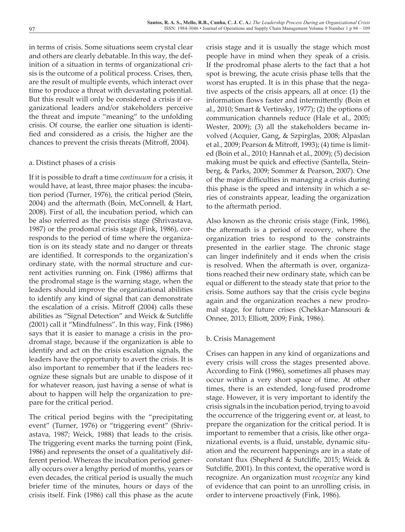in terms of crisis. Some situations seem crystal clear and others are clearly debatable. In this way, the definition of a situation in terms of organizational crisis is the outcome of a political process. Crises, then, are the result of multiple events, which interact over time to produce a threat with devastating potential. But this result will only be considered a crisis if organizational leaders and/or stakeholders perceive the threat and impute "meaning" to the unfolding crisis. Of course, the earlier one situation is identified and considered as a crisis, the higher are the chances to prevent the crisis threats (Mitroff, 2004).

### a. Distinct phases of a crisis

If it is possible to draft a time *continuum* for a crisis, it would have, at least, three major phases: the incubation period (Turner, 1976), the critical period (Stein, 2004) and the aftermath (Boin, McConnell, & Hart, 2008). First of all, the incubation period, which can be also referred as the precrisis stage (Shrivastava, 1987) or the prodomal crisis stage (Fink, 1986), corresponds to the period of time where the organization is on its steady state and no danger or threats are identified. It corresponds to the organization's ordinary state, with the normal structure and current activities running on. Fink (1986) affirms that the prodromal stage is the warning stage, when the leaders should improve the organizational abilities to identify any kind of signal that can demonstrate the escalation of a crisis. Mitroff (2004) calls these abilities as "Signal Detection" and Weick & Sutcliffe (2001) call it "Mindfulness". In this way, Fink (1986) says that it is easier to manage a crisis in the prodromal stage, because if the organization is able to identify and act on the crisis escalation signals, the leaders have the opportunity to avert the crisis. It is also important to remember that if the leaders recognize these signals but are unable to dispose of it for whatever reason, just having a sense of what is about to happen will help the organization to prepare for the critical period.

The critical period begins with the "precipitating event" (Turner, 1976) or "triggering event" (Shrivastava, 1987; Weick, 1988) that leads to the crisis. The triggering event marks the turning point (Fink, 1986) and represents the onset of a qualitatively different period. Whereas the incubation period generally occurs over a lengthy period of months, years or even decades, the critical period is usually the much briefer time of the minutes, hours or days of the crisis itself. Fink (1986) call this phase as the acute

crisis stage and it is usually the stage which most people have in mind when they speak of a crisis. If the prodromal phase alerts to the fact that a hot spot is brewing, the acute crisis phase tells that the worst has erupted. It is in this phase that the negative aspects of the crisis appears, all at once: (1) the information flows faster and intermittently (Boin et al., 2010; Smart & Vertinsky, 1977); (2) the options of communication channels reduce (Hale et al., 2005; Wester, 2009); (3) all the stakeholders became involved (Acquier, Gang, & Szpirglas, 2008; Alpaslan et al., 2009; Pearson & Mitroff, 1993); (4) time is limited (Boin et al., 2010; Hannah et al., 2009); (5) decision making must be quick and effective (Santella, Steinberg, & Parks, 2009; Sommer & Pearson, 2007). One of the major difficulties in managing a crisis during this phase is the speed and intensity in which a series of constraints appear, leading the organization to the aftermath period.

Also known as the chronic crisis stage (Fink, 1986), the aftermath is a period of recovery, where the organization tries to respond to the constraints presented in the earlier stage. The chronic stage can linger indefinitely and it ends when the crisis is resolved. When the aftermath is over, organizations reached their new ordinary state, which can be equal or different to the steady state that prior to the crisis. Some authors say that the crisis cycle begins again and the organization reaches a new prodromal stage, for future crises (Chekkar-Mansouri & Onnee, 2013; Elliott, 2009; Fink, 1986).

### b. Crisis Management

Crises can happen in any kind of organizations and every crisis will cross the stages presented above. According to Fink (1986), sometimes all phases may occur within a very short space of time. At other times, there is an extended, long-fused prodrome stage. However, it is very important to identify the crisis signals in the incubation period, trying to avoid the occurrence of the triggering event or, at least, to prepare the organization for the critical period. It is important to remember that a crisis, like other organizational events, is a fluid, unstable, dynamic situation and the recurrent happenings are in a state of constant flux (Shepherd & Sutcliffe, 2015; Weick & Sutcliffe, 2001). In this context, the operative word is recognize. An organization must *recognize* any kind of evidence that can point to an unrolling crisis, in order to intervene proactively (Fink, 1986).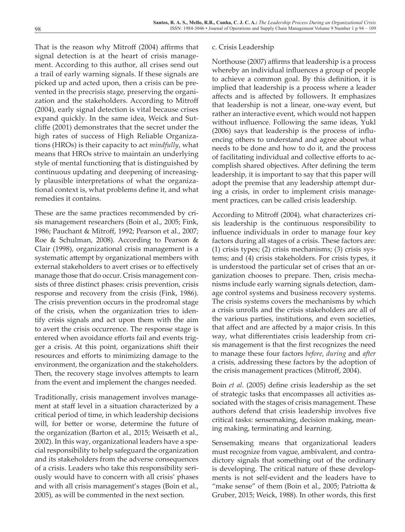That is the reason why Mitroff (2004) affirms that signal detection is at the heart of crisis management. According to this author, all crises send out a trail of early warning signals. If these signals are picked up and acted upon, then a crisis can be prevented in the precrisis stage, preserving the organization and the stakeholders. According to Mitroff (2004), early signal detection is vital because crises expand quickly. In the same idea, Weick and Sutcliffe (2001) demonstrates that the secret under the high rates of success of High Reliable Organizations (HROs) is their capacity to act *mindfully*, what means that HROs strive to maintain an underlying style of mental functioning that is distinguished by continuous updating and deepening of increasingly plausible interpretations of what the organizational context is, what problems define it, and what remedies it contains.

These are the same practices recommended by crisis management researchers (Boin et al., 2005; Fink, 1986; Pauchant & Mitroff, 1992; Pearson et al., 2007; Roe & Schulman, 2008). According to Pearson & Clair (1998), organizational crisis management is a systematic attempt by organizational members with external stakeholders to avert crises or to effectively manage those that do occur. Crisis management consists of three distinct phases: crisis prevention, crisis response and recovery from the crisis (Fink, 1986). The crisis prevention occurs in the prodromal stage of the crisis, when the organization tries to identify crisis signals and act upon them with the aim to avert the crisis occurrence. The response stage is entered when avoidance efforts fail and events trigger a crisis. At this point, organizations shift their resources and efforts to minimizing damage to the environment, the organization and the stakeholders. Then, the recovery stage involves attempts to learn from the event and implement the changes needed.

Traditionally, crisis management involves management at staff level in a situation characterized by a critical period of time, in which leadership decisions will, for better or worse, determine the future of the organization (Barton et al., 2015; Weisæth et al., 2002). In this way, organizational leaders have a special responsibility to help safeguard the organization and its stakeholders from the adverse consequences of a crisis. Leaders who take this responsibility seriously would have to concern with all crisis' phases and with all crisis management's stages (Boin et al., 2005), as will be commented in the next section.

#### c. Crisis Leadership

Northouse (2007) affirms that leadership is a process whereby an individual influences a group of people to achieve a common goal. By this definition, it is implied that leadership is a process where a leader affects and is affected by followers. It emphasizes that leadership is not a linear, one-way event, but rather an interactive event, which would not happen without influence. Following the same ideas, Yukl (2006) says that leadership is the process of influencing others to understand and agree about what needs to be done and how to do it, and the process of facilitating individual and collective efforts to accomplish shared objectives. After defining the term leadership, it is important to say that this paper will adopt the premise that any leadership attempt during a crisis, in order to implement crisis management practices, can be called crisis leadership.

According to Mitroff (2004), what characterizes crisis leadership is the continuous responsibility to influence individuals in order to manage four key factors during all stages of a crisis. These factors are: (1) crisis types; (2) crisis mechanisms; (3) crisis systems; and (4) crisis stakeholders. For crisis types, it is understood the particular set of crises that an organization chooses to prepare. Then, crisis mechanisms include early warning signals detection, damage control systems and business recovery systems. The crisis systems covers the mechanisms by which a crisis unrolls and the crisis stakeholders are all of the various parties, institutions, and even societies, that affect and are affected by a major crisis. In this way, what differentiates crisis leadership from crisis management is that the first recognizes the need to manage these four factors *before*, *during* and *after* a crisis, addressing these factors by the adoption of the crisis management practices (Mitroff, 2004).

Boin *et al*. (2005) define crisis leadership as the set of strategic tasks that encompasses all activities associated with the stages of crisis management. These authors defend that crisis leadership involves five critical tasks: sensemaking, decision making, meaning making, terminating and learning.

Sensemaking means that organizational leaders must recognize from vague, ambivalent, and contradictory signals that something out of the ordinary is developing. The critical nature of these developments is not self-evident and the leaders have to "make sense" of them (Boin et al., 2005; Patriotta  $&$ Gruber, 2015; Weick, 1988). In other words, this first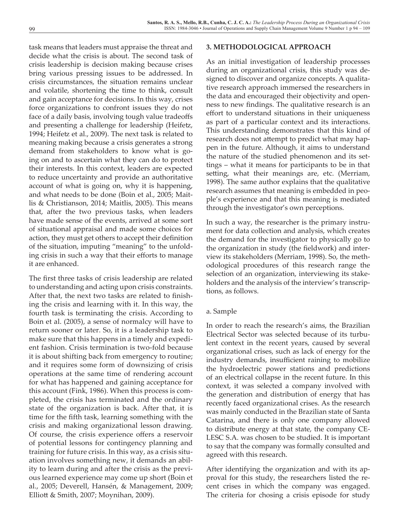task means that leaders must appraise the threat and decide what the crisis is about. The second task of crisis leadership is decision making because crises bring various pressing issues to be addressed. In crisis circumstances, the situation remains unclear and volatile, shortening the time to think, consult and gain acceptance for decisions. In this way, crises force organizations to confront issues they do not face of a daily basis, involving tough value tradeoffs and presenting a challenge for leadership (Heifetz, 1994; Heifetz et al., 2009). The next task is related to meaning making because a crisis generates a strong demand from stakeholders to know what is going on and to ascertain what they can do to protect their interests. In this context, leaders are expected to reduce uncertainty and provide an authoritative account of what is going on, why it is happening, and what needs to be done (Boin et al., 2005; Maitlis & Christianson, 2014; Maitlis, 2005). This means that, after the two previous tasks, when leaders have made sense of the events, arrived at some sort of situational appraisal and made some choices for action, they must get others to accept their definition of the situation, imputing "meaning" to the unfolding crisis in such a way that their efforts to manage it are enhanced.

The first three tasks of crisis leadership are related to understanding and acting upon crisis constraints. After that, the next two tasks are related to finishing the crisis and learning with it. In this way, the fourth task is terminating the crisis. According to Boin et al. (2005), a sense of normalcy will have to return sooner or later. So, it is a leadership task to make sure that this happens in a timely and expedient fashion. Crisis termination is two-fold because it is about shifting back from emergency to routine; and it requires some form of downsizing of crisis operations at the same time of rendering account for what has happened and gaining acceptance for this account (Fink, 1986). When this process is completed, the crisis has terminated and the ordinary state of the organization is back. After that, it is time for the fifth task, learning something with the crisis and making organizational lesson drawing. Of course, the crisis experience offers a reservoir of potential lessons for contingency planning and training for future crisis. In this way, as a crisis situation involves something new, it demands an ability to learn during and after the crisis as the previous learned experience may come up short (Boin et al., 2005; Deverell, Hansén, & Management, 2009; Elliott & Smith, 2007; Moynihan, 2009).

#### **3. METHODOLOGICAL APPROACH**

As an initial investigation of leadership processes during an organizational crisis, this study was designed to discover and organize concepts. A qualitative research approach immersed the researchers in the data and encouraged their objectivity and openness to new findings. The qualitative research is an effort to understand situations in their uniqueness as part of a particular context and its interactions. This understanding demonstrates that this kind of research does not attempt to predict what may happen in the future. Although, it aims to understand the nature of the studied phenomenon and its settings – what it means for participants to be in that setting, what their meanings are, etc. (Merriam, 1998). The same author explains that the qualitative research assumes that meaning is embedded in people's experience and that this meaning is mediated through the investigator's own perceptions.

In such a way, the researcher is the primary instrument for data collection and analysis, which creates the demand for the investigator to physically go to the organization in study (the fieldwork) and interview its stakeholders (Merriam, 1998). So, the methodological procedures of this research range the selection of an organization, interviewing its stakeholders and the analysis of the interview's transcriptions, as follows.

#### a. Sample

In order to reach the research's aims, the Brazilian Electrical Sector was selected because of its turbulent context in the recent years, caused by several organizational crises, such as lack of energy for the industry demands, insufficient raining to mobilize the hydroelectric power stations and predictions of an electrical collapse in the recent future. In this context, it was selected a company involved with the generation and distribution of energy that has recently faced organizational crises. As the research was mainly conducted in the Brazilian state of Santa Catarina, and there is only one company allowed to distribute energy at that state, the company CE-LESC S.A. was chosen to be studied. It is important to say that the company was formally consulted and agreed with this research.

After identifying the organization and with its approval for this study, the researchers listed the recent crises in which the company was engaged. The criteria for chosing a crisis episode for study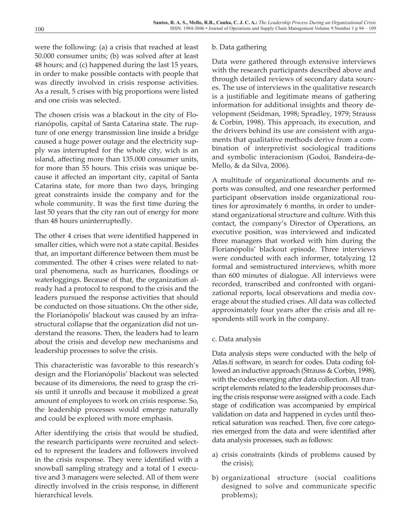were the following: (a) a crisis that reached at least 50.000 consumer units; (b) was solved after at least 48 hours; and (c) happened during the last 15 years, in order to make possible contacts with people that was directly involved in crisis response activities. As a result, 5 crises with big proportions were listed and one crisis was selected.

The chosen crisis was a blackout in the city of Florianópolis, capital of Santa Catarina state. The rupture of one energy transmission line inside a bridge caused a huge power outage and the electricity supply was interrupted for the whole city, wich is an island, affecting more than 135.000 consumer units, for more than 55 hours. This crisis was unique because it affected an important city, capital of Santa Catarina state, for more than two days, bringing great constraints inside the company and for the whole community. It was the first time during the last 50 years that the city ran out of energy for more than 48 hours uninterruptedly.

The other 4 crises that were identified happened in smaller cities, which were not a state capital. Besides that, an important difference between them must be commented. The other 4 crises were related to natural phenomena, such as hurricanes, floodings or waterloggings. Because of that, the organization already had a protocol to respond to the crisis and the leaders pursued the response activities that should be conducted on those situations. On the other side, the Florianópolis' blackout was caused by an infrastructural collapse that the organization did not understand the reasons. Then, the leaders had to learn about the crisis and develop new mechanisms and leadership processes to solve the crisis.

This characteristic was favorable to this research's design and the Florianópolis' blackout was selected because of its dimensions, the need to grasp the crisis until it unrolls and because it mobilized a great amount of employees to work on crisis response. So, the leadership processes would emerge naturally and could be explored with more emphasis.

After identifying the crisis that would be studied, the research participants were recruited and selected to represent the leaders and followers involved in the crisis response. They were identified with a snowball sampling strategy and a total of 1 executive and 3 managers were selected. All of them were directly involved in the crisis response, in different hierarchical levels.

### b. Data gathering

Data were gathered through extensive interviews with the research participants described above and through detailed reviews of secondary data sources. The use of interviews in the qualitative research is a justifiable and legitimate means of gathering information for additional insights and theory development (Seidman, 1998; Spradley, 1979; Strauss & Corbin, 1998). This approach, its execution, and the drivers behind its use are consistent with arguments that qualitative methods derive from a combination of interpretivist sociological traditions and symbolic interacionism (Godoi, Bandeira-de-Mello, & da Silva, 2006).

A multitude of organizational documents and reports was consulted, and one researcher performed participant observation inside organizational routines for aproximately 6 months, in order to understand organizational structure and culture. With this contact, the company's Director of Operations, an executive position, was interviewed and indicated three managers that worked with him during the Florianópolis' blackout episode. Three interviews were conducted with each informer, totalyzing 12 formal and semistructured interviews, whith more than 600 minutes of dialogue. All interviews were recorded, transcribed and confronted with organizational reports, local observations and media coverage about the studied crises. All data was collected approximately four years after the crisis and all respondents still work in the company.

### c. Data analysis

Data analysis steps were conducted with the help of Atlas.ti software, in search for codes. Data coding followed an inductive approach (Strauss & Corbin, 1998), with the codes emerging after data collection. All transcript elements related to the leadership processes during the crisis response were assigned with a code. Each stage of codification was accompanied by empirical validation on data and happened in cycles until theoretical saturation was reached. Then, five core categories emerged from the data and were identified after data analysis processes, such as follows:

- a) crisis constraints (kinds of problems caused by the crisis);
- b) organizational structure (social coalitions designed to solve and communicate specific problems);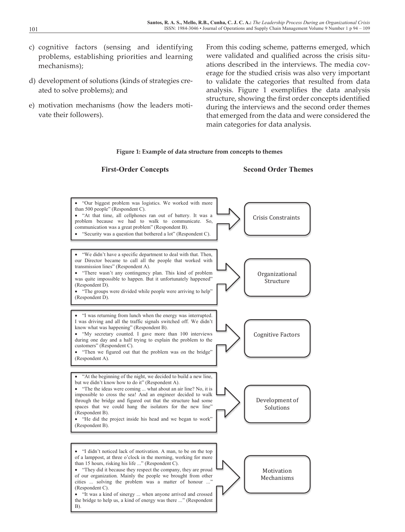- c) cognitive factors (sensing and identifying problems, establishing priorities and learning mechanisms);
- d) development of solutions (kinds of strategies created to solve problems); and
- e) motivation mechanisms (how the leaders motivate their followers).

From this coding scheme, patterns emerged, which were validated and qualified across the crisis situations described in the interviews. The media coverage for the studied crisis was also very important to validate the categories that resulted from data analysis. Figure 1 exemplifies the data analysis structure, showing the first order concepts identified during the interviews and the second order themes that emerged from the data and were considered the main categories for data analysis.

#### **Figure 1: Example of data structure from concepts to themes**

#### **First-Order Concepts Second Order Themes**

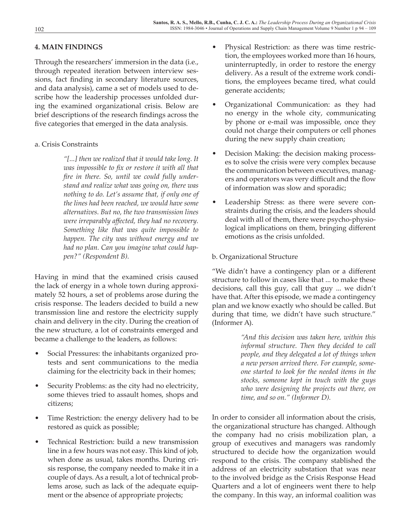### **4. MAIN FINDINGS**

Through the researchers' immersion in the data (i.e., through repeated iteration between interview sessions, fact finding in secondary literature sources, and data analysis), came a set of models used to describe how the leadership processes unfolded during the examined organizational crisis. Below are brief descriptions of the research findings across the five categories that emerged in the data analysis.

### a. Crisis Constraints

*"[...] then we realized that it would take long. It was impossible to fix or restore it with all that fire in there. So, until we could fully understand and realize what was going on, there was nothing to do. Let's assume that, if only one of the lines had been reached, we would have some alternatives. But no, the two transmission lines were irreparably affected, they had no recovery. Something like that was quite impossible to happen. The city was without energy and we had no plan. Can you imagine what could happen?" (Respondent B).*

Having in mind that the examined crisis caused the lack of energy in a whole town during approximately 52 hours, a set of problems arose during the crisis response. The leaders decided to build a new transmission line and restore the electricity supply chain and delivery in the city. During the creation of the new structure, a lot of constraints emerged and became a challenge to the leaders, as follows:

- Social Pressures: the inhabitants organized protests and sent communications to the media claiming for the electricity back in their homes;
- Security Problems: as the city had no electricity, some thieves tried to assault homes, shops and citizens;
- Time Restriction: the energy delivery had to be restored as quick as possible;
- Technical Restriction: build a new transmission line in a few hours was not easy. This kind of job, when done as usual, takes months. During crisis response, the company needed to make it in a couple of days. As a result, a lot of technical problems arose, such as lack of the adequate equipment or the absence of appropriate projects;
- Physical Restriction: as there was time restriction, the employees worked more than 16 hours, uninterruptedly, in order to restore the energy delivery. As a result of the extreme work conditions, the employees became tired, what could generate accidents;
- Organizational Communication: as they had no energy in the whole city, communicating by phone or e-mail was impossible, once they could not charge their computers or cell phones during the new supply chain creation;
- Decision Making: the decision making processes to solve the crisis were very complex because the communication between executives, managers and operators was very difficult and the flow of information was slow and sporadic;
- Leadership Stress: as there were severe constraints during the crisis, and the leaders should deal with all of them, there were psycho-physiological implications on them, bringing different emotions as the crisis unfolded.

### b. Organizational Structure

"We didn't have a contingency plan or a different structure to follow in cases like that ... to make these decisions, call this guy, call that guy ... we didn't have that. After this episode, we made a contingency plan and we know exactly who should be called. But during that time, we didn't have such structure." (Informer A).

> *"And this decision was taken here, within this informal structure. Then they decided to call people, and they delegated a lot of things when a new person arrived there. For example, someone started to look for the needed items in the stocks, someone kept in touch with the guys who were designing the projects out there, on time, and so on." (Informer D).*

In order to consider all information about the crisis, the organizational structure has changed. Although the company had no crisis mobilization plan, a group of executives and managers was randomly structured to decide how the organization would respond to the crisis. The company stablished the address of an electricity substation that was near to the involved bridge as the Crisis Response Head Quarters and a lot of engineers went there to help the company. In this way, an informal coalition was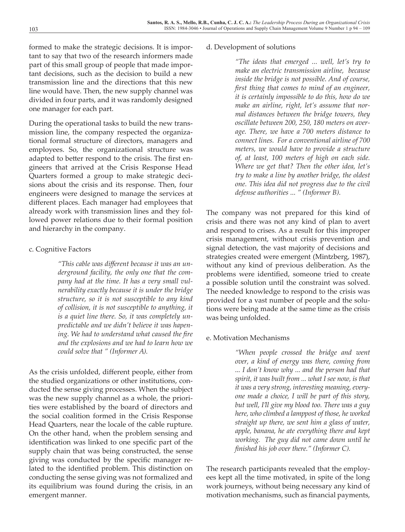formed to make the strategic decisions. It is important to say that two of the research informers made part of this small group of people that made important decisions, such as the decision to build a new transmission line and the directions that this new line would have. Then, the new supply channel was divided in four parts, and it was randomly designed one manager for each part.

During the operational tasks to build the new transmission line, the company respected the organizational formal structure of directors, managers and employees. So, the organizational structure was adapted to better respond to the crisis. The first engineers that arrived at the Crisis Response Head Quarters formed a group to make strategic decisions about the crisis and its response. Then, four engineers were designed to manage the services at different places. Each manager had employees that already work with transmission lines and they followed power relations due to their formal position and hierarchy in the company.

### c. Cognitive Factors

*"This cable was different because it was an underground facility, the only one that the company had at the time. It has a very small vulnerability exactly because it is under the bridge structure, so it is not susceptible to any kind of collision, it is not susceptible to anything, it is a quiet line there. So, it was completely unpredictable and we didn't believe it was hapening. We had to understand what caused the fire and the explosions and we had to learn how we could solve that " (Informer A).*

As the crisis unfolded, different people, either from the studied organizations or other institutions, conducted the sense giving processes. When the subject was the new supply channel as a whole, the priorities were established by the board of directors and the social coalition formed in the Crisis Response Head Quarters, near the locale of the cable rupture. On the other hand, when the problem sensing and identification was linked to one specific part of the supply chain that was being constructed, the sense giving was conducted by the specific manager related to the identified problem. This distinction on conducting the sense giving was not formalized and its equilibrium was found during the crisis, in an emergent manner.

### d. Development of solutions

*"The ideas that emerged ... well, let's try to make an electric transmission airline, because inside the bridge is not possible. And of course, first thing that comes to mind of an engineer, it is certainly impossible to do this, how do we make an airline, right, let's assume that normal distances between the bridge towers, they oscillate between 200, 250, 180 meters on average. There, we have a 700 meters distance to connect lines. For a conventional airline of 700 meters, we would have to provide a structure of, at least, 100 meters of high on each side. Where we get that? Then the other idea, let's try to make a line by another bridge, the oldest one. This idea did not progress due to the civil defense authorities ... " (Informer B).*

The company was not prepared for this kind of crisis and there was not any kind of plan to avert and respond to crises. As a result for this improper crisis management, without crisis prevention and signal detection, the vast majority of decisions and strategies created were emergent (Mintzberg, 1987), without any kind of previous deliberation. As the problems were identified, someone tried to create a possible solution until the constraint was solved. The needed knowledge to respond to the crisis was provided for a vast number of people and the solutions were being made at the same time as the crisis was being unfolded.

### e. Motivation Mechanisms

*"When people crossed the bridge and went over, a kind of energy was there, coming from ... I don't know why ... and the person had that spirit, it was built from ... what I see now, is that it was a very strong, interesting meaning, everyone made a choice, I will be part of this story, but well, I'll give my blood too. There was a guy here, who climbed a lamppost of those, he worked straight up there, we sent him a glass of water, apple, banana, he ate everything there and kept working. The guy did not came down until he finished his job over there." (Informer C).*

The research participants revealed that the employees kept all the time motivated, in spite of the long work journeys, without being necessary any kind of motivation mechanisms, such as financial payments,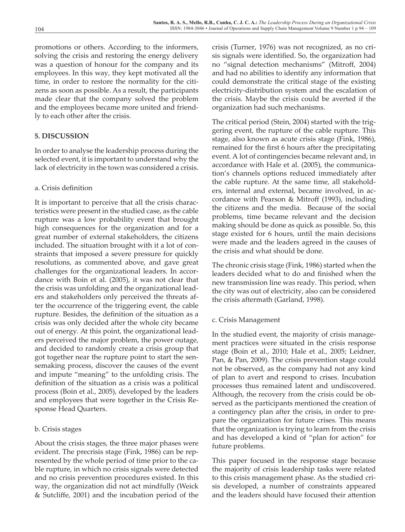promotions or others. According to the informers, solving the crisis and restoring the energy delivery was a question of honour for the company and its employees. In this way, they kept motivated all the time, in order to restore the normality for the citizens as soon as possible. As a result, the participants made clear that the company solved the problem and the employees became more united and friendly to each other after the crisis.

### **5. DISCUSSION**

In order to analyse the leadership process during the selected event, it is important to understand why the lack of electricity in the town was considered a crisis.

### a. Crisis definition

It is important to perceive that all the crisis characteristics were present in the studied case, as the cable rupture was a low probability event that brought high consequences for the organization and for a great number of external stakeholders, the citizens included. The situation brought with it a lot of constraints that imposed a severe pressure for quickly resolutions, as commented above, and gave great challenges for the organizational leaders. In accordance with Boin et al. (2005), it was not clear that the crisis was unfolding and the organizational leaders and stakeholders only perceived the threats after the occurrence of the triggering event, the cable rupture. Besides, the definition of the situation as a crisis was only decided after the whole city became out of energy. At this point, the organizational leaders perceived the major problem, the power outage, and decided to randomly create a crisis group that got together near the rupture point to start the sensemaking process, discover the causes of the event and impute "meaning" to the unfolding crisis. The definition of the situation as a crisis was a political process (Boin et al., 2005), developed by the leaders and employees that were together in the Crisis Response Head Quarters.

### b. Crisis stages

About the crisis stages, the three major phases were evident. The precrisis stage (Fink, 1986) can be represented by the whole period of time prior to the cable rupture, in which no crisis signals were detected and no crisis prevention procedures existed. In this way, the organization did not act mindfully (Weick & Sutcliffe, 2001) and the incubation period of the crisis (Turner, 1976) was not recognized, as no crisis signals were identified. So, the organization had no "signal detection mechanisms" (Mitroff, 2004) and had no abilities to identify any information that could demonstrate the critical stage of the existing electricity-distribution system and the escalation of the crisis. Maybe the crisis could be averted if the organization had such mechanisms.

The critical period (Stein, 2004) started with the triggering event, the rupture of the cable rupture. This stage, also known as acute crisis stage (Fink, 1986), remained for the first 6 hours after the precipitating event. A lot of contingencies became relevant and, in accordance with Hale et al. (2005), the communication's channels options reduced immediately after the cable rupture. At the same time, all stakeholders, internal and external, became involved, in accordance with Pearson & Mitroff (1993), including the citizens and the media. Because of the social problems, time became relevant and the decision making should be done as quick as possible. So, this stage existed for 6 hours, until the main decisions were made and the leaders agreed in the causes of the crisis and what should be done.

The chronic crisis stage (Fink, 1986) started when the leaders decided what to do and finished when the new transmission line was ready. This period, when the city was out of electricity, also can be considered the crisis aftermath (Garland, 1998).

### c. Crisis Management

In the studied event, the majority of crisis management practices were situated in the crisis response stage (Boin et al., 2010; Hale et al., 2005; Leidner, Pan, & Pan, 2009). The crisis prevention stage could not be observed, as the company had not any kind of plan to avert and respond to crises. Incubation processes thus remained latent and undiscovered. Although, the recovery from the crisis could be observed as the participants mentioned the creation of a contingency plan after the crisis, in order to prepare the organization for future crises. This means that the organization is trying to learn from the crisis and has developed a kind of "plan for action" for future problems.

This paper focused in the response stage because the majority of crisis leadership tasks were related to this crisis management phase. As the studied crisis developed, a number of constraints appeared and the leaders should have focused their attention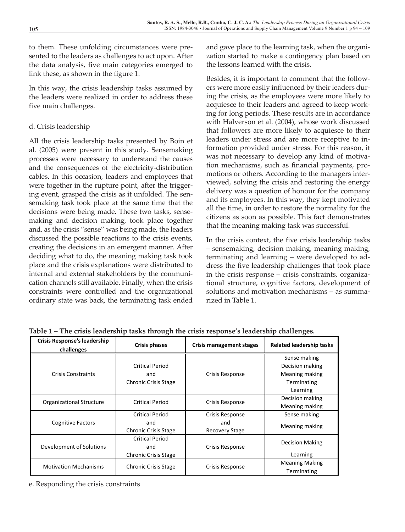to them. These unfolding circumstances were presented to the leaders as challenges to act upon. After the data analysis, five main categories emerged to link these, as shown in the figure 1.

In this way, the crisis leadership tasks assumed by the leaders were realized in order to address these five main challenges.

### d. Crisis leadership

All the crisis leadership tasks presented by Boin et al. (2005) were present in this study. Sensemaking processes were necessary to understand the causes and the consequences of the electricity-distribution cables. In this occasion, leaders and employees that were together in the rupture point, after the triggering event, grasped the crisis as it unfolded. The sensemaking task took place at the same time that the direction in order to restore the normality decisions were being made. These two tasks, sensemaking and decision making, took place together citizens as soon as possible. and, as the crisis "sense" was being made, the leaders and the filed in the making task was success. discussed the possible reactions to the crisis events, creating the decisions in an emergent manner. After  $\overline{a}$  – sensemaking, decision making, meaning deciding what to do, the meaning making task took place and the crisis explanations were distributed to internal and external stakeholders by the communi-<br>in the crisis response – crisis constraints, cation channels still available. Finally, when the crisis constraints were controlled and the organizational ordinary state was back, the terminating task ended deciding what to do, the meaning making task took planning and learning – were developed to ad-

and gave place to the learning task, when the organization started to make a contingency plan based on the lessons learned with the crisis.

Besides, it is important to comment that the followers were more easily influenced by their leaders during the crisis, as the employees were more likely to acquiesce to their leaders and agreed to keep working for long periods. These results are in accordance with Halverson et al. (2004), whose work discussed that followers are more likely to acquiesce to their leaders under stress and are more receptive to information provided under stress. For this reason, it was not necessary to develop any kind of motivation mechanisms, such as financial payments, promotions or others. According to the managers interviewed, solving the crisis and restoring the energy delivery was a question of honour for the company and its employees. In this way, they kept motivated all the time, in order to restore the normality for the citizens as soon as possible. This fact demonstrates that the meaning making task was successful.

In the crisis context, the five crisis leadership tasks – sensemaking, decision making, meaning making, dress the five leadership challenges that took place in the crisis response – crisis constraints, organizational structure, cognitive factors, development of solutions and motivation mechanisms – as summarized in Table 1.

| <b>Crisis Response's leadership</b><br>challenges | <b>Crisis phases</b>               | <b>Crisis management stages</b> | <b>Related leadership tasks</b>                   |
|---------------------------------------------------|------------------------------------|---------------------------------|---------------------------------------------------|
| <b>Crisis Constraints</b>                         | <b>Critical Period</b><br>and      | Crisis Response                 | Sense making<br>Decision making<br>Meaning making |
|                                                   | <b>Chronic Crisis Stage</b>        |                                 | Terminating<br>Learning                           |
| <b>Organizational Structure</b>                   | <b>Critical Period</b>             | Crisis Response                 | Decision making<br>Meaning making                 |
| <b>Cognitive Factors</b>                          | <b>Critical Period</b>             | Crisis Response                 | Sense making                                      |
|                                                   | and<br><b>Chronic Crisis Stage</b> | and<br><b>Recovery Stage</b>    | Meaning making                                    |
| Development of Solutions                          | <b>Critical Period</b><br>and      | Crisis Response                 | <b>Decision Making</b>                            |
|                                                   | <b>Chronic Crisis Stage</b>        |                                 | Learning                                          |
| <b>Motivation Mechanisms</b>                      | <b>Chronic Crisis Stage</b>        | Crisis Response                 | <b>Meaning Making</b><br>Terminating              |

**Table 1 – The crisis leadership tasks through the crisis response's leadership challenges.**

i. Responding the crisis constraints e. Responding the crisis constraints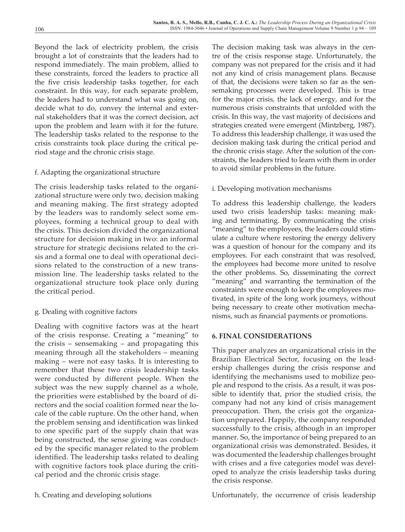Beyond the lack of electricity problem, the crisis brought a lot of constraints that the leaders had to respond immediately. The main problem, allied to these constraints, forced the leaders to practice all the five crisis leadership tasks together, for each constraint. In this way, for each separate problem, the leaders had to understand what was going on, decide what to do, convey the internal and external stakeholders that it was the correct decision, act upon the problem and learn with it for the future. The leadership tasks related to the response to the crisis constraints took place during the critical period stage and the chronic crisis stage.

### f. Adapting the organizational structure

The crisis leadership tasks related to the organizational structure were only two, decision making and meaning making. The first strategy adopted by the leaders was to randomly select some employees, forming a technical group to deal with the crisis. This decision divided the organizational structure for decision making in two: an informal structure for strategic decisions related to the crisis and a formal one to deal with operational decisions related to the construction of a new transmission line. The leadership tasks related to the organizational structure took place only during the critical period.

### g. Dealing with cognitive factors

Dealing with cognitive factors was at the heart of the crisis response. Creating a "meaning" to the crisis – sensemaking – and propagating this meaning through all the stakeholders – meaning making – were not easy tasks. It is interesting to remember that these two crisis leadership tasks were conducted by different people. When the subject was the new supply channel as a whole, the priorities were established by the board of directors and the social coalition formed near the locale of the cable rupture. On the other hand, when the problem sensing and identification was linked to one specific part of the supply chain that was being constructed, the sense giving was conducted by the specific manager related to the problem identified. The leadership tasks related to dealing with cognitive factors took place during the critical period and the chronic crisis stage.

The decision making task was always in the centre of the crisis response stage. Unfortunately, the company was not prepared for the crisis and it had not any kind of crisis management plans. Because of that, the decisions were taken so far as the sensemaking processes were developed. This is true for the major crisis, the lack of energy, and for the numerous crisis constraints that unfolded with the crisis. In this way, the vast majority of decisions and strategies created were emergent (Mintzberg, 1987). To address this leadership challenge, it was used the decision making task during the critical period and the chronic crisis stage. After the solution of the constraints, the leaders tried to learn with them in order to avoid similar problems in the future.

### i. Developing motivation mechanisms

To address this leadership challenge, the leaders used two crisis leadership tasks: meaning making and terminating. By communicating the crisis "meaning" to the employees, the leaders could stimulate a culture where restoring the energy delivery was a question of honour for the company and its employees. For each constraint that was resolved, the employees had become more united to resolve the other problems. So, disseminating the correct "meaning" and warranting the termination of the constraints were enough to keep the employees motivated, in spite of the long work journeys, without being necessary to create other motivation mechanisms, such as financial payments or promotions.

### **6. FINAL CONSIDERATIONS**

This paper analyzes an organizational crisis in the Brazilian Electrical Sector, focusing on the leadership challenges during the crisis response and identifying the mechanisms used to mobilize people and respond to the crisis. As a result, it was possible to identify that, prior the studied crisis, the company had not any kind of crisis management preoccupation. Then, the crisis got the organization unprepared. Happily, the company responded successfully to the crisis, although in an improper manner. So, the importance of being prepared to an organizational crisis was demonstrated. Besides, it was documented the leadership challenges brought with crises and a five categories model was developed to analyze the crisis leadership tasks during the crisis response.

h. Creating and developing solutions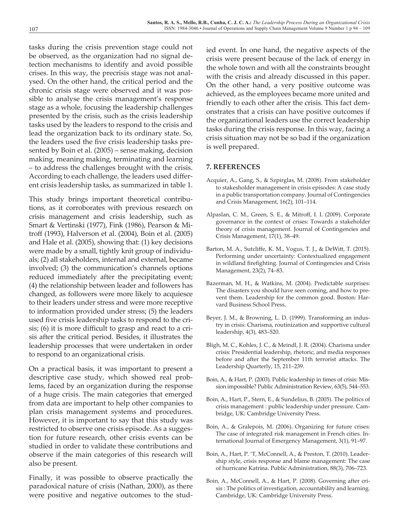tasks during the crisis prevention stage could not be observed, as the organization had no signal detection mechanisms to identify and avoid possible crises. In this way, the precrisis stage was not analysed. On the other hand, the critical period and the chronic crisis stage were observed and it was possible to analyse the crisis management's response stage as a whole, focusing the leadership challenges presented by the crisis, such as the crisis leadership tasks used by the leaders to respond to the crisis and lead the organization back to its ordinary state. So, the leaders used the five crisis leadership tasks presented by Boin et al. (2005) – sense making, decision making, meaning making, terminating and learning – to address the challenges brought with the crisis. According to each challenge, the leaders used different crisis leadership tasks, as summarized in table 1.

This study brings important theoretical contributions, as it corroborates with previous research on crisis management and crisis leadership, such as Smart & Vertinski (1977), Fink (1986), Pearson & Mitroff (1993), Halverson et al. (2004), Boin et al. (2005) and Hale et al. (2005), showing that: (1) key decisions were made by a small, tightly knit group of individuals; (2) all stakeholders, internal and external, became involved; (3) the communication's channels options reduced immediately after the precipitating event; (4) the relationship between leader and followers has changed, as followers were more likely to acquiesce to their leaders under stress and were more receptive to information provided under stress; (5) the leaders used five crisis leadership tasks to respond to the crisis; (6) it is more difficult to grasp and react to a crisis after the critical period. Besides, it illustrates the leadership processes that were undertaken in order to respond to an organizational crisis.

On a practical basis, it was important to present a descriptive case study, which showed real problems, faced by an organization during the response of a huge crisis. The main categories that emerged from data are important to help other companies to plan crisis management systems and procedures. However, it is important to say that this study was restricted to observe one crisis episode. As a suggestion for future research, other crisis events can be studied in order to validate these contributions and observe if the main categories of this research will also be present.

Finally, it was possible to observe practically the paradoxical nature of crisis (Nathan, 2000), as there were positive and negative outcomes to the studied event. In one hand, the negative aspects of the crisis were present because of the lack of energy in the whole town and with all the constraints brought with the crisis and already discussed in this paper. On the other hand, a very positive outcome was achieved, as the employees became more united and friendly to each other after the crisis. This fact demonstrates that a crisis can have positive outcomes if the organizational leaders use the correct leadership tasks during the crisis response. In this way, facing a crisis situation may not be so bad if the organization is well prepared.

### **7. REFERENCES**

- Acquier, A., Gang, S., & Szpirglas, M. (2008). From stakeholder to stakesholder management in crisis episodes: A case study in a public transportation company. Journal of Contingencies and Crisis Management, 16(2), 101–114.
- Alpaslan, C. M., Green, S. E., & Mitroff, I. I. (2009). Corporate governance in the context of crises: Towards a stakeholder theory of crisis management. Journal of Contingencies and Crisis Management, 17(1), 38–49.
- Barton, M. A., Sutcliffe, K. M., Vogus, T. J., & DeWitt, T. (2015). Performing under uncertainty: Contextualized engagement in wildland firefighting. Journal of Contingencies and Crisis Management, 23(2), 74–83.
- Bazerman, M. H., & Watkins, M. (2004). Predictable surprises: The disasters you should have seen coming, and how to prevent them. Leadership for the common good. Boston: Harvard Business School Press.
- Beyer, J. M., & Browning, L. D. (1999). Transforming an industry in crisis: Charisma, routinization and supportive cultural leadership, 4(3), 483–520.
- Bligh, M. C., Kohles, J. C., & Meindl, J. R. (2004). Charisma under crisis: Presidential leadership, rhetoric, and media responses before and after the September 11th terrorist attacks. The Leadership Quarterly, 15, 211–239.
- Boin, A., & Hart, P. (2003). Public leadership in times of crisis: Mission impossible? Public Administration Review, 63(5), 544–553.
- Boin, A., Hart, P., Stern, E., & Sundelius, B. (2005). The politics of crisis management : public leadership under pressure. Cambridge, UK: Cambridge University Press.
- Boin, A., & Gralepois, M. (2006). Organizing for future crises: The case of integrated risk management in French cities. International Journal of Emergency Management, 3(1), 91–97.
- Boin, A., Hart, P. 'T, McConnell, A., & Preston, T. (2010). Leadership style, crisis response and blame management: The case of hurricane Katrina. Public Administration, 88(3), 706–723.
- Boin, A., McConnell, A., & Hart, P. (2008). Governing after crisis : The politics of investigation, accountability and learning. Cambridge, UK: Cambridge University Press.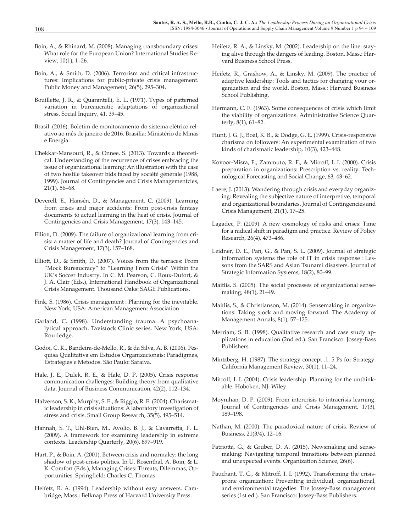- Boin, A., & Rhinard, M. (2008). Managing transboundary crises: What role for the European Union? International Studies Review, 10(1), 1–26.
- Boin, A., & Smith, D. (2006). Terrorism and critical infrastructures: Implications for public-private crisis management. Public Money and Management, 26(5), 295–304.
- Bouillette, J. R., & Quarantelli, E. L. (1971). Types of patterned variation in bureaucratic adaptations of organizational stress. Social Inquiry, 41, 39–45.
- Brasil. (2016). Boletim de monitoramento do sistema elétrico relativo ao mês de janeiro de 2016. Brasília: Ministério de Minas e Energia.
- Chekkar-Mansouri, R., & Onnee, S. (2013). Towards a theoretical. Understanding of the recurrence of crises embracing the issue of organizational learning: An illustration with the case of two hostile takeover bids faced by société générale (1988, 1999). Journal of Contingencies and Crisis Managementcies, 21(1), 56–68.
- Deverell, E., Hansén, D., & Management, C. (2009). Learning from crises and major accidents: From post-crisis fantasy documents to actual learning in the heat of crisis. Journal of Contingencies and Crisis Management, 17(3), 143–145.
- Elliott, D. (2009). The failure of organizational learning from crisis: a matter of life and death? Journal of Contingencies and Crisis Management, 17(3), 157–168.
- Elliott, D., & Smith, D. (2007). Voices from the terraces: From "Mock Bureaucracy" to "Learning From Crisis" Within the UK's Soccer Industry. In C. M. Pearson, C. Roux-Dufort, & J. A. Clair (Eds.), International Handbook of Organizational Crisis Management. Thousand Oaks: SAGE Publications.
- Fink, S. (1986). Crisis management : Planning for the inevitable. New York, USA: American Management Association.
- Garland, C. (1998). Understanding trauma: A psychoanalytical approach. Tavistock Clinic series. New York, USA: Routledge.
- Godoi, C. K., Bandeira-de-Mello, R., & da Silva, A. B. (2006). Pesquisa Qualitativa em Estudos Organizacionais: Paradigmas, Estratégias e Métodos. São Paulo: Saraiva.
- Hale, J. E., Dulek, R. E., & Hale, D. P. (2005). Crisis response communication challenges: Building theory from qualitative data. Journal of Business Communication, 42(2), 112–134.
- Halverson, S. K., Murphy, S. E., & Riggio, R. E. (2004). Charismatic leadership in crisis situations: A laboratory investigation of stress and crisis. Small Group Research, 35(5), 495–514.
- Hannah, S. T., Uhl-Bien, M., Avolio, B. J., & Cavarretta, F. L. (2009). A framework for examining leadership in extreme contexts. Leadership Quarterly, 20(6), 897–919.
- Hart, P., & Boin, A. (2001). Between crisis and normalcy: the long shadow of post-crisis politics. In U. Rosenthal, A. Boin, & L. K. Comfort (Eds.), Managing Crises: Threats, Dilemmas, Opportunities. Springfield: Charles C. Thomas.
- Heifetz, R. A. (1994). Leadership without easy answers. Cambridge, Mass.: Belknap Press of Harvard University Press.
- Heifetz, R. A., & Linsky, M. (2002). Leadership on the line: staying alive through the dangers of leading. Boston, Mass.: Harvard Business School Press.
- Heifetz, R., Grashow, A., & Linsky, M. (2009). The practice of adaptive leadership: Tools and tactics for changing your organization and the world. Boston, Mass.: Harvard Business School Publishing.
- Hermann, C. F. (1963). Some consequences of crisis which limit the viability of organizations. Administrative Science Quarterly, 8(1), 61–82.
- Hunt, J. G. J., Boal, K. B., & Dodge, G. E. (1999). Crisis-responsive charisma on followers: An experimental examination of two kinds of charismatic leadership, 10(3), 423–448.
- Kovoor-Misra, F., Zammuto, R. F., & Mitroff, I. I. (2000). Crisis preparation in organizations: Prescription vs. reality. Technological Forecasting and Social Change, 63, 43–62.
- Laere, J. (2013). Wandering through crisis and everyday organizing: Revealing the subjective nature of interpretive, temporal and organizational boundaries. Journal of Contingencies and Crisis Management, 21(1), 17–25.
- Lagadec, P. (2009). A new cosmology of risks and crises: Time for a radical shift in paradigm and practice. Review of Policy Research, 26(4), 473–486.
- Leidner, D. E., Pan, G., & Pan, S. L. (2009). Journal of strategic information systems the role of IT in crisis response : Lessons from the SARS and Asian Tsunami disasters. Journal of Strategic Information Systems, 18(2), 80–99.
- Maitlis, S. (2005). The social processes of organizational sensemaking, 48(1), 21–49.
- Maitlis, S., & Christianson, M. (2014). Sensemaking in organizations: Taking stock and moving forward. The Academy of Management Annals, 8(1), 57–125.
- Merriam, S. B. (1998). Qualitative research and case study applications in education (2nd ed.). San Francisco: Jossey-Bass Publishers.
- Mintzberg, H. (1987). The strategy concept .1. 5 Ps for Strategy. California Management Review, 30(1), 11–24.
- Mitroff, I. I. (2004). Crisis leadership: Planning for the unthinkable. Hoboken, NJ: Wiley.
- Moynihan, D. P. (2009). From intercrisis to intracrisis learning. Journal of Contingencies and Crisis Management, 17(3), 189–198.
- Nathan, M. (2000). The paradoxical nature of crisis. Review of Business, 21(3/4), 12–16.
- Patriotta, G., & Gruber, D. A. (2015). Newsmaking and sensemaking: Navigating temporal transitions between planned and unexpected events. Organization Science, 26(6).
- Pauchant, T. C., & Mitroff, I. I. (1992). Transforming the crisisprone organization: Preventing individual, organizational, and environmental tragedies. The Jossey-Bass management series (1st ed.). San Francisco: Jossey-Bass Publishers.